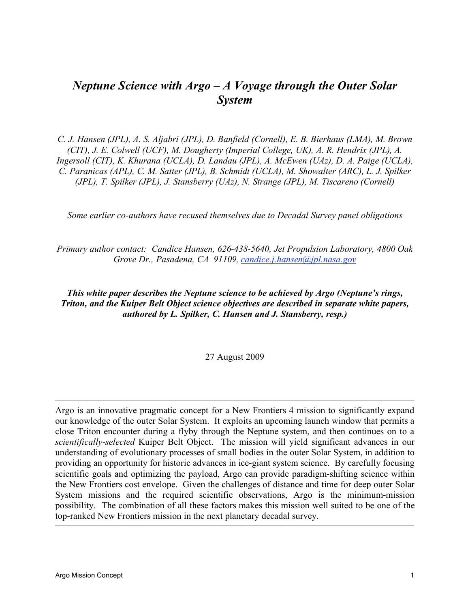# *Neptune Science with Argo – A Voyage through the Outer Solar System*

*C. J. Hansen (JPL), A. S. Aljabri (JPL), D. Banfield (Cornell), E. B. Bierhaus (LMA), M. Brown (CIT), J. E. Colwell (UCF), M. Dougherty (Imperial College, UK), A. R. Hendrix (JPL), A. Ingersoll (CIT), K. Khurana (UCLA), D. Landau (JPL), A. McEwen (UAz), D. A. Paige (UCLA), C. Paranicas (APL), C. M. Satter (JPL), B. Schmidt (UCLA), M. Showalter (ARC), L. J. Spilker (JPL), T. Spilker (JPL), J. Stansberry (UAz), N. Strange (JPL), M. Tiscareno (Cornell)*

*Some earlier co-authors have recused themselves due to Decadal Survey panel obligations*

*Primary author contact: Candice Hansen, 626-438-5640, Jet Propulsion Laboratory, 4800 Oak Grove Dr., Pasadena, CA 91109, candice.j.hansen@jpl.nasa.gov*

#### *This white paper describes the Neptune science to be achieved by Argo (Neptune's rings, Triton, and the Kuiper Belt Object science objectives are described in separate white papers, authored by L. Spilker, C. Hansen and J. Stansberry, resp.)*

27 August 2009

Argo is an innovative pragmatic concept for a New Frontiers 4 mission to significantly expand our knowledge of the outer Solar System. It exploits an upcoming launch window that permits a close Triton encounter during a flyby through the Neptune system, and then continues on to a *scientifically-selected* Kuiper Belt Object. The mission will yield significant advances in our understanding of evolutionary processes of small bodies in the outer Solar System, in addition to providing an opportunity for historic advances in ice-giant system science. By carefully focusing scientific goals and optimizing the payload, Argo can provide paradigm-shifting science within the New Frontiers cost envelope. Given the challenges of distance and time for deep outer Solar System missions and the required scientific observations, Argo is the minimum-mission possibility. The combination of all these factors makes this mission well suited to be one of the top-ranked New Frontiers mission in the next planetary decadal survey.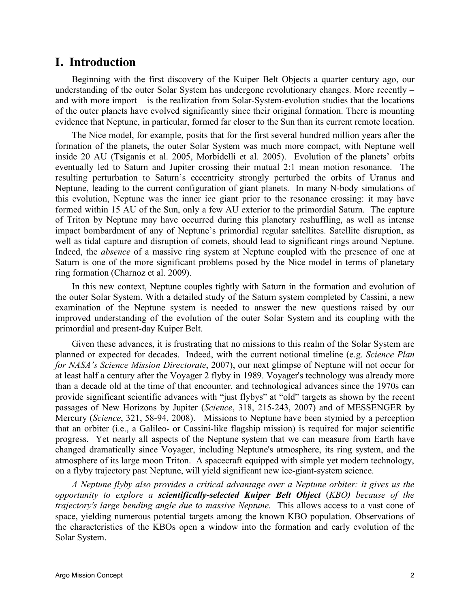## **I. Introduction**

Beginning with the first discovery of the Kuiper Belt Objects a quarter century ago, our understanding of the outer Solar System has undergone revolutionary changes. More recently – and with more import – is the realization from Solar-System-evolution studies that the locations of the outer planets have evolved significantly since their original formation. There is mounting evidence that Neptune, in particular, formed far closer to the Sun than its current remote location.

The Nice model, for example, posits that for the first several hundred million years after the formation of the planets, the outer Solar System was much more compact, with Neptune well inside 20 AU (Tsiganis et al. 2005, Morbidelli et al. 2005). Evolution of the planets' orbits eventually led to Saturn and Jupiter crossing their mutual 2:1 mean motion resonance. The resulting perturbation to Saturn's eccentricity strongly perturbed the orbits of Uranus and Neptune, leading to the current configuration of giant planets. In many N-body simulations of this evolution, Neptune was the inner ice giant prior to the resonance crossing: it may have formed within 15 AU of the Sun, only a few AU exterior to the primordial Saturn. The capture of Triton by Neptune may have occurred during this planetary reshuffling, as well as intense impact bombardment of any of Neptune's primordial regular satellites. Satellite disruption, as well as tidal capture and disruption of comets, should lead to significant rings around Neptune. Indeed, the *absence* of a massive ring system at Neptune coupled with the presence of one at Saturn is one of the more significant problems posed by the Nice model in terms of planetary ring formation (Charnoz et al. 2009).

In this new context, Neptune couples tightly with Saturn in the formation and evolution of the outer Solar System. With a detailed study of the Saturn system completed by Cassini, a new examination of the Neptune system is needed to answer the new questions raised by our improved understanding of the evolution of the outer Solar System and its coupling with the primordial and present-day Kuiper Belt.

Given these advances, it is frustrating that no missions to this realm of the Solar System are planned or expected for decades. Indeed, with the current notional timeline (e.g. *Science Plan for NASA's Science Mission Directorate*, 2007), our next glimpse of Neptune will not occur for at least half a century after the Voyager 2 flyby in 1989. Voyager's technology was already more than a decade old at the time of that encounter, and technological advances since the 1970s can provide significant scientific advances with "just flybys" at "old" targets as shown by the recent passages of New Horizons by Jupiter (*Science*, 318, 215-243, 2007) and of MESSENGER by Mercury (*Science*, 321, 58-94, 2008). Missions to Neptune have been stymied by a perception that an orbiter (i.e., a Galileo- or Cassini-like flagship mission) is required for major scientific progress. Yet nearly all aspects of the Neptune system that we can measure from Earth have changed dramatically since Voyager, including Neptune's atmosphere, its ring system, and the atmosphere of its large moon Triton. A spacecraft equipped with simple yet modern technology, on a flyby trajectory past Neptune, will yield significant new ice-giant-system science.

*A Neptune flyby also provides a critical advantage over a Neptune orbiter: it gives us the opportunity to explore a scientifically-selected Kuiper Belt Object* (*KBO) because of the trajectory's large bending angle due to massive Neptune.* This allows access to a vast cone of space, yielding numerous potential targets among the known KBO population. Observations of the characteristics of the KBOs open a window into the formation and early evolution of the Solar System.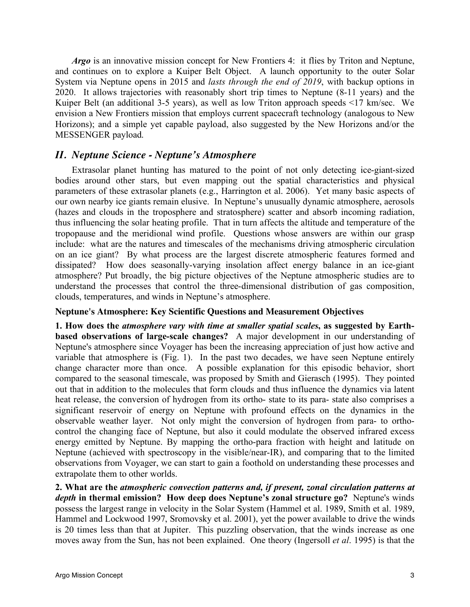*Argo* is an innovative mission concept for New Frontiers 4: it flies by Triton and Neptune, and continues on to explore a Kuiper Belt Object. A launch opportunity to the outer Solar System via Neptune opens in 2015 and *lasts through the end of 2019*, with backup options in 2020. It allows trajectories with reasonably short trip times to Neptune (8-11 years) and the Kuiper Belt (an additional 3-5 years), as well as low Triton approach speeds <17 km/sec. We envision a New Frontiers mission that employs current spacecraft technology (analogous to New Horizons); and a simple yet capable payload, also suggested by the New Horizons and/or the MESSENGER payload.

### *II. Neptune Science - Neptune's Atmosphere*

Extrasolar planet hunting has matured to the point of not only detecting ice-giant-sized bodies around other stars, but even mapping out the spatial characteristics and physical parameters of these extrasolar planets (e.g., Harrington et al. 2006). Yet many basic aspects of our own nearby ice giants remain elusive. In Neptune's unusually dynamic atmosphere, aerosols (hazes and clouds in the troposphere and stratosphere) scatter and absorb incoming radiation, thus influencing the solar heating profile. That in turn affects the altitude and temperature of the tropopause and the meridional wind profile. Questions whose answers are within our grasp include: what are the natures and timescales of the mechanisms driving atmospheric circulation on an ice giant? By what process are the largest discrete atmospheric features formed and dissipated? How does seasonally-varying insolation affect energy balance in an ice-giant atmosphere? Put broadly, the big picture objectives of the Neptune atmospheric studies are to understand the processes that control the three-dimensional distribution of gas composition, clouds, temperatures, and winds in Neptune's atmosphere.

#### **Neptune's Atmosphere: Key Scientific Questions and Measurement Objectives**

**1. How does the** *atmosphere vary with time at smaller spatial scales***, as suggested by Earthbased observations of large-scale changes?** A major development in our understanding of Neptune's atmosphere since Voyager has been the increasing appreciation of just how active and variable that atmosphere is (Fig. 1). In the past two decades, we have seen Neptune entirely change character more than once. A possible explanation for this episodic behavior, short compared to the seasonal timescale, was proposed by Smith and Gierasch (1995). They pointed out that in addition to the molecules that form clouds and thus influence the dynamics via latent heat release, the conversion of hydrogen from its ortho- state to its para- state also comprises a significant reservoir of energy on Neptune with profound effects on the dynamics in the observable weather layer. Not only might the conversion of hydrogen from para- to orthocontrol the changing face of Neptune, but also it could modulate the observed infrared excess energy emitted by Neptune. By mapping the ortho-para fraction with height and latitude on Neptune (achieved with spectroscopy in the visible/near-IR), and comparing that to the limited observations from Voyager, we can start to gain a foothold on understanding these processes and extrapolate them to other worlds.

**2. What are the** *atmospheric convection patterns and, if present, zonal circulation patterns at depth* **in thermal emission? How deep does Neptune's zonal structure go?** Neptune's winds possess the largest range in velocity in the Solar System (Hammel et al. 1989, Smith et al. 1989, Hammel and Lockwood 1997, Sromovsky et al. 2001), yet the power available to drive the winds is 20 times less than that at Jupiter. This puzzling observation, that the winds increase as one moves away from the Sun, has not been explained. One theory (Ingersoll *et al*. 1995) is that the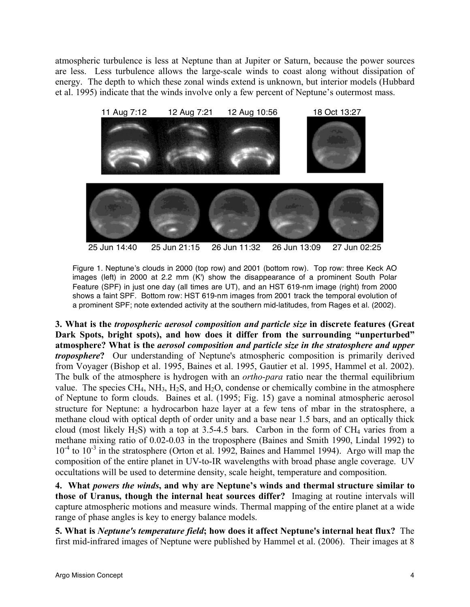atmospheric turbulence is less at Neptune than at Jupiter or Saturn, because the power sources are less. Less turbulence allows the large-scale winds to coast along without dissipation of energy. The depth to which these zonal winds extend is unknown, but interior models (Hubbard et al. 1995) indicate that the winds involve only a few percent of Neptune's outermost mass.



Figure 1. Neptune's clouds in 2000 (top row) and 2001 (bottom row). Top row: three Keck AO images (left) in 2000 at 2.2 mm (K') show the disappearance of a prominent South Polar Feature (SPF) in just one day (all times are UT), and an HST 619-nm image (right) from 2000 shows a faint SPF. Bottom row: HST 619-nm images from 2001 track the temporal evolution of a prominent SPF; note extended activity at the southern mid-latitudes, from Rages et al. (2002).

**3. What is the** *tropospheric aerosol composition and particle size* **in discrete features (Great Dark Spots, bright spots), and how does it differ from the surrounding "unperturbed" atmosphere? What is the** *aerosol composition and particle size in the stratosphere and upper troposphere***?** Our understanding of Neptune's atmospheric composition is primarily derived from Voyager (Bishop et al. 1995, Baines et al. 1995, Gautier et al. 1995, Hammel et al. 2002). The bulk of the atmosphere is hydrogen with an *ortho-para* ratio near the thermal equilibrium value. The species  $CH_4$ ,  $NH_3$ ,  $H_2S$ , and  $H_2O$ , condense or chemically combine in the atmosphere of Neptune to form clouds. Baines et al. (1995; Fig. 15) gave a nominal atmospheric aerosol structure for Neptune: a hydrocarbon haze layer at a few tens of mbar in the stratosphere, a methane cloud with optical depth of order unity and a base near 1.5 bars, and an optically thick cloud (most likely  $H_2S$ ) with a top at 3.5-4.5 bars. Carbon in the form of CH<sub>4</sub> varies from a methane mixing ratio of 0.02-0.03 in the troposphere (Baines and Smith 1990, Lindal 1992) to 10<sup>-4</sup> to 10<sup>-3</sup> in the stratosphere (Orton et al. 1992, Baines and Hammel 1994). Argo will map the composition of the entire planet in UV-to-IR wavelengths with broad phase angle coverage. UV occultations will be used to determine density, scale height, temperature and composition.

**4. What** *powers the winds***, and why are Neptune's winds and thermal structure similar to those of Uranus, though the internal heat sources differ?** Imaging at routine intervals will capture atmospheric motions and measure winds. Thermal mapping of the entire planet at a wide range of phase angles is key to energy balance models.

**5. What is** *Neptune's temperature field***; how does it affect Neptune's internal heat flux?** The first mid-infrared images of Neptune were published by Hammel et al. (2006). Their images at 8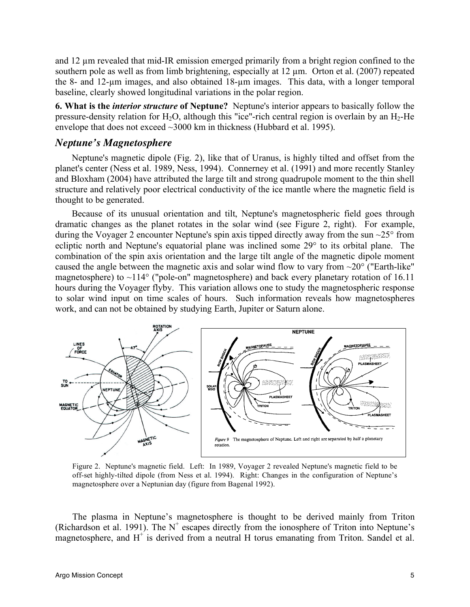and 12 µm revealed that mid-IR emission emerged primarily from a bright region confined to the southern pole as well as from limb brightening, especially at 12  $\mu$ m. Orton et al. (2007) repeated the 8- and 12-µm images, and also obtained 18-µm images. This data, with a longer temporal baseline, clearly showed longitudinal variations in the polar region.

**6. What is the** *interior structure* **of Neptune?** Neptune's interior appears to basically follow the pressure-density relation for  $H_2O$ , although this "ice"-rich central region is overlain by an  $H_2$ -He envelope that does not exceed ~3000 km in thickness (Hubbard et al. 1995).

#### *Neptune's Magnetosphere*

Neptune's magnetic dipole (Fig. 2), like that of Uranus, is highly tilted and offset from the planet's center (Ness et al. 1989, Ness, 1994). Connerney et al. (1991) and more recently Stanley and Bloxham (2004) have attributed the large tilt and strong quadrupole moment to the thin shell structure and relatively poor electrical conductivity of the ice mantle where the magnetic field is thought to be generated.

Because of its unusual orientation and tilt, Neptune's magnetospheric field goes through dramatic changes as the planet rotates in the solar wind (see Figure 2, right). For example, during the Voyager 2 encounter Neptune's spin axis tipped directly away from the sun ~25° from ecliptic north and Neptune's equatorial plane was inclined some 29° to its orbital plane. The combination of the spin axis orientation and the large tilt angle of the magnetic dipole moment caused the angle between the magnetic axis and solar wind flow to vary from  $\sim$ 20 $^{\circ}$  ("Earth-like" magnetosphere) to  $\sim$ 114 $\degree$  ("pole-on" magnetosphere) and back every planetary rotation of 16.11 hours during the Voyager flyby. This variation allows one to study the magnetospheric response to solar wind input on time scales of hours. Such information reveals how magnetospheres work, and can not be obtained by studying Earth, Jupiter or Saturn alone.



Figure 2. Neptune's magnetic field. Left: In 1989, Voyager 2 revealed Neptune's magnetic field to be off-set highly-tilted dipole (from Ness et al. 1994). Right: Changes in the configuration of Neptune's magnetosphere over a Neptunian day (figure from Bagenal 1992).

The plasma in Neptune's magnetosphere is thought to be derived mainly from Triton (Richardson et al. 1991). The  $N^+$  escapes directly from the ionosphere of Triton into Neptune's magnetosphere, and  $H^+$  is derived from a neutral H torus emanating from Triton. Sandel et al.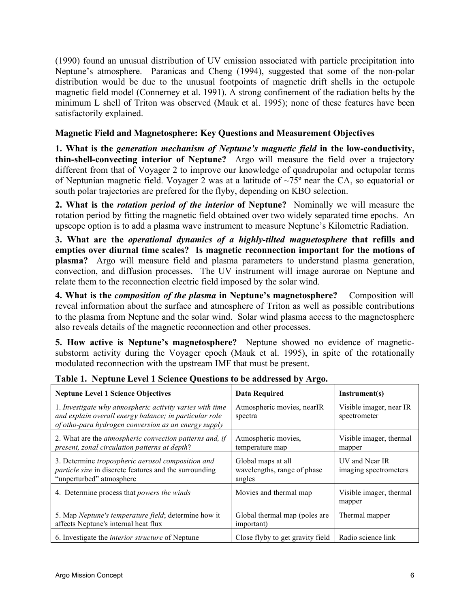(1990) found an unusual distribution of UV emission associated with particle precipitation into Neptune's atmosphere. Paranicas and Cheng (1994), suggested that some of the non-polar distribution would be due to the unusual footpoints of magnetic drift shells in the octupole magnetic field model (Connerney et al. 1991). A strong confinement of the radiation belts by the minimum L shell of Triton was observed (Mauk et al. 1995); none of these features have been satisfactorily explained.

#### **Magnetic Field and Magnetosphere: Key Questions and Measurement Objectives**

**1. What is the** *generation mechanism of Neptune's magnetic field* **in the low-conductivity, thin-shell-convecting interior of Neptune?** Argo will measure the field over a trajectory different from that of Voyager 2 to improve our knowledge of quadrupolar and octupolar terms of Neptunian magnetic field. Voyager 2 was at a latitude of ~75º near the CA, so equatorial or south polar trajectories are prefered for the flyby, depending on KBO selection.

**2. What is the** *rotation period of the interior* **of Neptune?** Nominally we will measure the rotation period by fitting the magnetic field obtained over two widely separated time epochs. An upscope option is to add a plasma wave instrument to measure Neptune's Kilometric Radiation.

**3. What are the** *operational dynamics of a highly-tilted magnetosphere* **that refills and empties over diurnal time scales? Is magnetic reconnection important for the motions of plasma?** Argo will measure field and plasma parameters to understand plasma generation, convection, and diffusion processes. The UV instrument will image aurorae on Neptune and relate them to the reconnection electric field imposed by the solar wind.

**4. What is the** *composition of the plasma* **in Neptune's magnetosphere?** Composition will reveal information about the surface and atmosphere of Triton as well as possible contributions to the plasma from Neptune and the solar wind. Solar wind plasma access to the magnetosphere also reveals details of the magnetic reconnection and other processes.

**5. How active is Neptune's magnetosphere?** Neptune showed no evidence of magneticsubstorm activity during the Voyager epoch (Mauk et al. 1995), in spite of the rotationally modulated reconnection with the upstream IMF that must be present.

| <b>Neptune Level 1 Science Objectives</b>                                                                                                                                  | <b>Data Required</b>                                        | Instrument(s)                           |
|----------------------------------------------------------------------------------------------------------------------------------------------------------------------------|-------------------------------------------------------------|-----------------------------------------|
| 1. Investigate why atmospheric activity varies with time<br>and explain overall energy balance; in particular role<br>of otho-para hydrogen conversion as an energy supply | Atmospheric movies, nearIR<br>spectra                       | Visible imager, near IR<br>spectrometer |
| 2. What are the <i>atmospheric convection patterns and, if</i><br>present, zonal circulation patterns at depth?                                                            | Atmospheric movies,<br>temperature map                      | Visible imager, thermal<br>mapper       |
| 3. Determine tropospheric aerosol composition and<br><i>particle size</i> in discrete features and the surrounding<br>"unperturbed" atmosphere                             | Global maps at all<br>wavelengths, range of phase<br>angles | UV and Near IR<br>imaging spectrometers |
| 4. Determine process that <i>powers the winds</i>                                                                                                                          | Movies and thermal map                                      | Visible imager, thermal<br>mapper       |
| 5. Map Neptune's temperature field; determine how it<br>affects Neptune's internal heat flux                                                                               | Global thermal map (poles are<br>important)                 | Thermal mapper                          |
| 6. Investigate the <i>interior structure</i> of Neptune                                                                                                                    | Close flyby to get gravity field                            | Radio science link                      |

**Table 1. Neptune Level 1 Science Questions to be addressed by Argo.**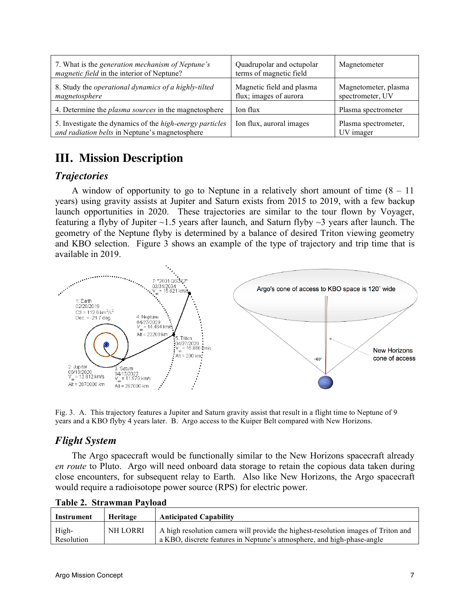| 7. What is the generation mechanism of Neptune's<br><i>magnetic field</i> in the interior of Neptune?             | Quadrupolar and octupolar<br>terms of magnetic field | Magnetometer                             |
|-------------------------------------------------------------------------------------------------------------------|------------------------------------------------------|------------------------------------------|
| 8. Study the operational dynamics of a highly-tilted<br>magnetosphere                                             | Magnetic field and plasma<br>flux; images of aurora  | Magnetometer, plasma<br>spectrometer, UV |
| 4. Determine the <i>plasma sources</i> in the magnetosphere                                                       | Ion flux                                             | Plasma spectrometer                      |
| 5. Investigate the dynamics of the <i>high-energy particles</i><br>and radiation belts in Neptune's magnetosphere | Ion flux, auroral images                             | Plasma spectrometer,<br>UV imager        |

# **III. Mission Description**

## *Trajectories*

A window of opportunity to go to Neptune in a relatively short amount of time  $(8 - 11)$ years) using gravity assists at Jupiter and Saturn exists from 2015 to 2019, with a few backup launch opportunities in 2020. These trajectories are similar to the tour flown by Voyager, featuring a flyby of Jupiter  $\sim$ 1.5 years after launch, and Saturn flyby  $\sim$ 3 years after launch. The geometry of the Neptune flyby is determined by a balance of desired Triton viewing geometry and KBO selection. Figure 3 shows an example of the type of trajectory and trip time that is available in 2019.



Fig. 3. A. This trajectory features a Jupiter and Saturn gravity assist that result in a flight time to Neptune of 9 years and a KBO flyby 4 years later. B. Argo access to the Kuiper Belt compared with New Horizons.

## *Flight System*

The Argo spacecraft would be functionally similar to the New Horizons spacecraft already *en route* to Pluto. Argo will need onboard data storage to retain the copious data taken during close encounters, for subsequent relay to Earth. Also like New Horizons, the Argo spacecraft would require a radioisotope power source (RPS) for electric power.

| Instrument          | Heritage | <b>Anticipated Capability</b>                                                                                                                               |
|---------------------|----------|-------------------------------------------------------------------------------------------------------------------------------------------------------------|
| High-<br>Resolution | NH LORRI | A high resolution camera will provide the highest-resolution images of Triton and<br>a KBO, discrete features in Neptune's atmosphere, and high-phase-angle |

**Table 2. Strawman Payload**